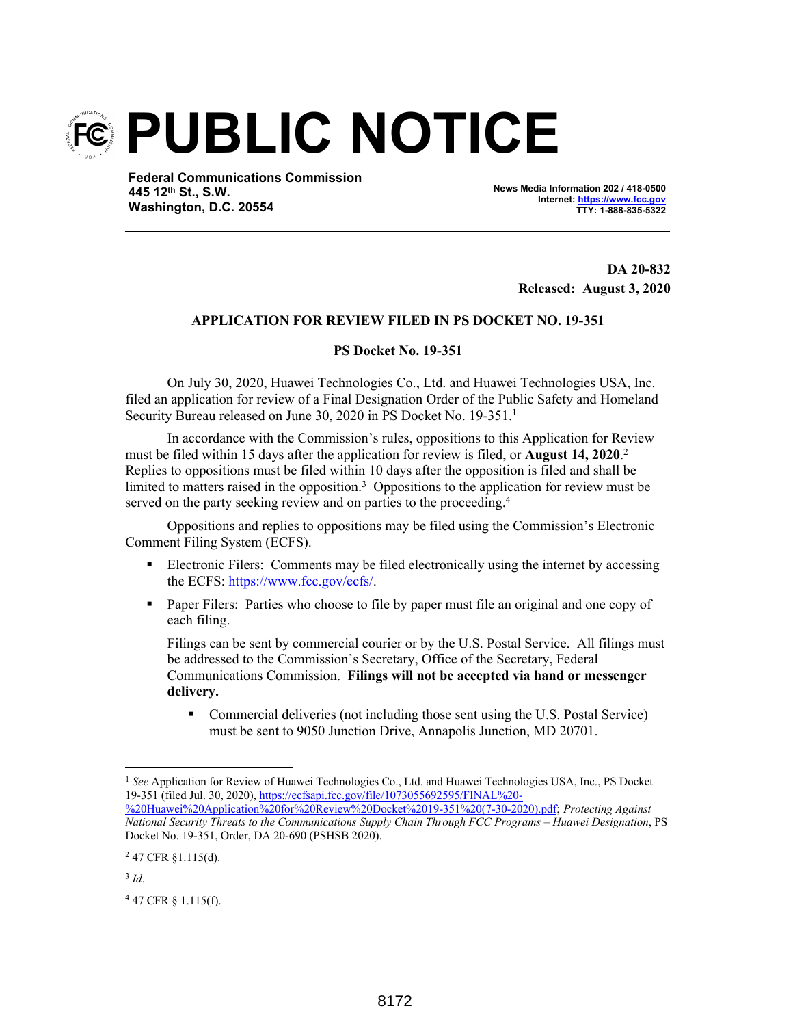

**Federal Communications Commission 445 12th St., S.W. Washington, D.C. 20554**

**News Media Information 202 / 418-0500 Internet: https://www.fcc.gov TTY: 1-888-835-5322**

> **DA 20-832 Released: August 3, 2020**

## **APPLICATION FOR REVIEW FILED IN PS DOCKET NO. 19-351**

## **PS Docket No. 19-351**

On July 30, 2020, Huawei Technologies Co., Ltd. and Huawei Technologies USA, Inc. filed an application for review of a Final Designation Order of the Public Safety and Homeland Security Bureau released on June 30, 2020 in PS Docket No. 19-351.<sup>1</sup>

In accordance with the Commission's rules, oppositions to this Application for Review must be filed within 15 days after the application for review is filed, or **August 14, 2020**. 2 Replies to oppositions must be filed within 10 days after the opposition is filed and shall be limited to matters raised in the opposition.<sup>3</sup> Oppositions to the application for review must be served on the party seeking review and on parties to the proceeding.<sup>4</sup>

Oppositions and replies to oppositions may be filed using the Commission's Electronic Comment Filing System (ECFS).

- Electronic Filers: Comments may be filed electronically using the internet by accessing the ECFS: https://www.fcc.gov/ecfs/.
- **Paper Filers:** Parties who choose to file by paper must file an original and one copy of each filing.

Filings can be sent by commercial courier or by the U.S. Postal Service. All filings must be addressed to the Commission's Secretary, Office of the Secretary, Federal Communications Commission. **Filings will not be accepted via hand or messenger delivery.**

 Commercial deliveries (not including those sent using the U.S. Postal Service) must be sent to 9050 Junction Drive, Annapolis Junction, MD 20701.

<sup>&</sup>lt;sup>1</sup> See Application for Review of Huawei Technologies Co., Ltd. and Huawei Technologies USA, Inc., PS Docket 19-351 (filed Jul. 30, 2020), https://ecfsapi.fcc.gov/file/1073055692595/FINAL%20-

<sup>%20</sup>Huawei%20Application%20for%20Review%20Docket%2019-351%20(7-30-2020).pdf; *Protecting Against National Security Threats to the Communications Supply Chain Through FCC Programs – Huawei Designation*, PS Docket No. 19-351, Order, DA 20-690 (PSHSB 2020).

 $247$  CFR §1.115(d).

<sup>3</sup> *Id*.

<sup>4</sup> 47 CFR § 1.115(f).